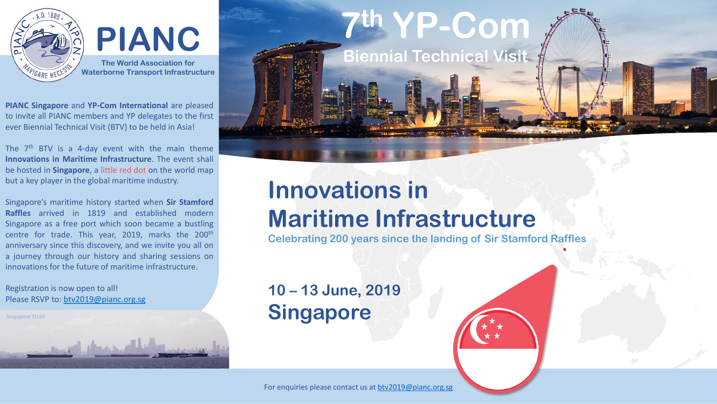

**PIANC The World Association for Waterborne Transport Infrastructure**

**PIANC Singapore** and **YP-Com International** are pleased to invite all PIANC members and YP delegates to the first ever Biennial Technical Visit (BTV) to be held in Asia!

The 7<sup>th</sup> BTV is a 4-day event with the main theme **Innovations in Maritime Infrastructure**. The event shall be hosted in **Singapore**, a little red dot on the world map but a key player in the global maritime industry.

Singapore's maritime history started when **Sir Stamford Raffles** arrived in 1819 and established modern Singapore as a free port which soon became a bustling centre for trade. This year, 2019, marks the 200<sup>th</sup> anniversary since this discovery, and we invite you all on a journey through our history and sharing sessions on innovations for the future of maritime infrastructure.

وأزيابا وينخ بتبعان التخصص

Registration is now open to all! Please RSVP to: [btv2019@pianc.org.sg](mailto:btv2019@pianc.org.sg)

Singapore Strait

**7 th YP-Com**

**Biennial Technical Visit**

## **Innovations in Maritime Infrastructure**

**Celebrating 200 years since the landing of Sir Stamford Raffles**

## **10 – 13 June, 2019 Singapore**

For enquiries please contact us at [btv2019@pianc.org.sg](mailto:btv2019@pianc.org.sg)